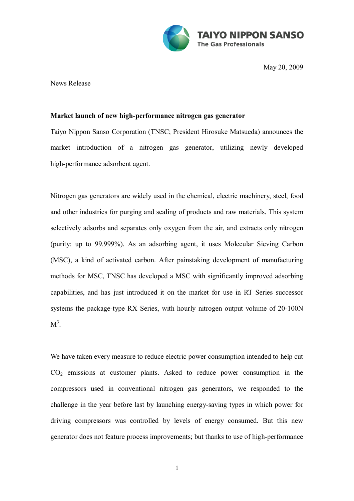

May 20, 2009

News Release

## **Market launch of new high-performance nitrogen gas generator**

Taiyo Nippon Sanso Corporation (TNSC; President Hirosuke Matsueda) announces the market introduction of a nitrogen gas generator, utilizing newly developed high-performance adsorbent agent.

Nitrogen gas generators are widely used in the chemical, electric machinery, steel, food and other industries for purging and sealing of products and raw materials. This system selectively adsorbs and separates only oxygen from the air, and extracts only nitrogen (purity: up to 99.999%). As an adsorbing agent, it uses Molecular Sieving Carbon (MSC), a kind of activated carbon. After painstaking development of manufacturing methods for MSC, TNSC has developed a MSC with significantly improved adsorbing capabilities, and has just introduced it on the market for use in RT Series successor systems the package-type RX Series, with hourly nitrogen output volume of 20-100N  $M^3$ .

We have taken every measure to reduce electric power consumption intended to help cut  $CO<sub>2</sub>$  emissions at customer plants. Asked to reduce power consumption in the compressors used in conventional nitrogen gas generators, we responded to the challenge in the year before last by launching energy-saving types in which power for driving compressors was controlled by levels of energy consumed. But this new generator does not feature process improvements; but thanks to use of high-performance